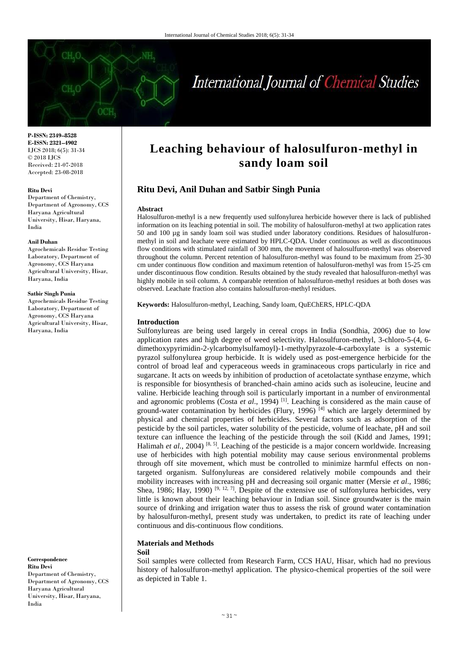

**P-ISSN: 2349–8528 E-ISSN: 2321–4902** IJCS 2018; 6(5): 31-34 © 2018 IJCS Received: 21-07-2018 Accepted: 23-08-2018

#### **Ritu Devi**

Department of Chemistry, Department of Agronomy, CCS Haryana Agricultural University, Hisar, Haryana, India

#### **Anil Duhan**

Agrochemicals Residue Testing Laboratory, Department of Agronomy, CCS Haryana Agricultural University, Hisar, Haryana, India

#### **Satbir Singh Punia**

Agrochemicals Residue Testing Laboratory, Department of Agronomy, CCS Haryana Agricultural University, Hisar, Haryana, India

**Correspondence Ritu Devi** Department of Chemistry, Department of Agronomy, CCS Haryana Agricultural University, Hisar, Haryana, India

# **Leaching behaviour of halosulfuron-methyl in sandy loam soil**

## **Ritu Devi, Anil Duhan and Satbir Singh Punia**

### **Abstract**

Halosulfuron-methyl is a new frequently used sulfonylurea herbicide however there is lack of published information on its leaching potential in soil. The mobility of halosulfuron-methyl at two application rates 50 and 100 µg in sandy loam soil was studied under laboratory conditions. Residues of halosulfuronmethyl in soil and leachate were estimated by HPLC-QDA. Under continuous as well as discontinuous flow conditions with stimulated rainfall of 300 mm, the movement of halosulfuron-methyl was observed throughout the column. Percent retention of halosulfuron-methyl was found to be maximum from 25-30 cm under continuous flow condition and maximum retention of halosulfuron-methyl was from 15-25 cm under discontinuous flow condition. Results obtained by the study revealed that halosulfuron-methyl was highly mobile in soil column. A comparable retention of halosulfuron-methyl residues at both doses was observed. Leachate fraction also contains halosulfuron-methyl residues.

**Keywords:** Halosulfuron-methyl, Leaching, Sandy loam, QuEChERS, HPLC-QDA

## **Introduction**

Sulfonylureas are being used largely in cereal crops in India (Sondhia, 2006) due to low application rates and high degree of weed selectivity. Halosulfuron-methyl, 3-chloro-5-(4, 6 dimethoxypyrimidin-2-ylcarbomylsulfamoyl)-1-methylpyrazole-4-carboxylate is a systemic pyrazol sulfonylurea group herbicide. It is widely used as post-emergence herbicide for the control of broad leaf and cyperaceous weeds in graminaceous crops particularly in rice and sugarcane. It acts on weeds by inhibition of production of acetolactate synthase enzyme, which is responsible for biosynthesis of branched-chain amino acids such as isoleucine, leucine and valine. Herbicide leaching through soil is particularly important in a number of environmental and agronomic problems (Costa *et al*., 1994) [1]. Leaching is considered as the main cause of ground-water contamination by herbicides (Flury, 1996)<sup>[4]</sup> which are largely determined by physical and chemical properties of herbicides. Several factors such as adsorption of the pesticide by the soil particles, water solubility of the pesticide, volume of leachate, pH and soil texture can influence the leaching of the pesticide through the soil (Kidd and James, 1991; Halimah et al., 2004)<sup>[8, 5]</sup>. Leaching of the pesticide is a major concern worldwide. Increasing use of herbicides with high potential mobility may cause serious environmental problems through off site movement, which must be controlled to minimize harmful effects on nontargeted organism. Sulfonylureas are considered relatively mobile compounds and their mobility increases with increasing pH and decreasing soil organic matter (Mersie *et al*., 1986; Shea, 1986; Hay, 1990) <sup>[9, 12, 7]</sup>. Despite of the extensive use of sulfonylurea herbicides, very little is known about their leaching behaviour in Indian soil. Since groundwater is the main source of drinking and irrigation water thus to assess the risk of ground water contamination by halosulfuron-methyl, present study was undertaken, to predict its rate of leaching under continuous and dis-continuous flow conditions.

## **Materials and Methods**

#### **Soil**

Soil samples were collected from Research Farm, CCS HAU, Hisar, which had no previous history of halosulfuron-methyl application. The physico-chemical properties of the soil were as depicted in Table 1.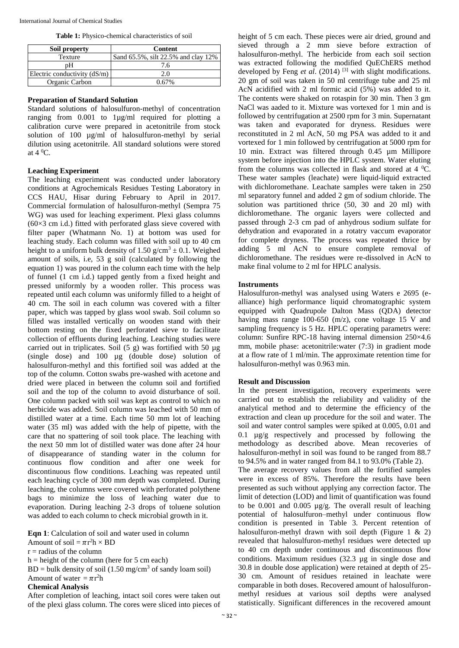|  | Table 1: Physico-chemical characteristics of soil |  |  |
|--|---------------------------------------------------|--|--|
|--|---------------------------------------------------|--|--|

| Soil property                  | Content                             |
|--------------------------------|-------------------------------------|
| Texture                        | Sand 65.5%, silt 22.5% and clay 12% |
| pΗ                             | 7.6                                 |
| Electric conductivity $(dS/m)$ | 2.0                                 |
| Organic Carbon                 | በ 67%                               |

## **Preparation of Standard Solution**

Standard solutions of halosulfuron-methyl of concentration ranging from 0.001 to 1µg/ml required for plotting a calibration curve were prepared in acetonitrile from stock solution of 100 µg/ml of halosulfuron-methyl by serial dilution using acetonitrile. All standard solutions were stored at  $4 \,^0C$ .

## **Leaching Experiment**

The leaching experiment was conducted under laboratory conditions at Agrochemicals Residues Testing Laboratory in CCS HAU, Hisar during February to April in 2017. Commercial formulation of halosulfuron-methyl (Sempra 75 WG) was used for leaching experiment. Plexi glass columns  $(60\times3$  cm i.d.) fitted with perforated glass sieve covered with filter paper (Whatmann No. 1) at bottom was used for leaching study. Each column was filled with soil up to 40 cm height to a uniform bulk density of 1.50  $g/cm^3 \pm 0.1$ . Weighed amount of soils, i.e, 53 g soil (calculated by following the equation 1) was poured in the column each time with the help of funnel (1 cm i.d.) tapped gently from a fixed height and pressed uniformly by a wooden roller. This process was repeated until each column was uniformly filled to a height of 40 cm. The soil in each column was covered with a filter paper, which was tapped by glass wool swab. Soil column so filled was installed vertically on wooden stand with their bottom resting on the fixed perforated sieve to facilitate collection of effluents during leaching. Leaching studies were carried out in triplicates. Soil (5 g) was fortified with 50 µg (single dose) and 100 µg (double dose) solution of halosulfuron-methyl and this fortified soil was added at the top of the column. Cotton swabs pre-washed with acetone and dried were placed in between the column soil and fortified soil and the top of the column to avoid disturbance of soil. One column packed with soil was kept as control to which no herbicide was added. Soil column was leached with 50 mm of distilled water at a time. Each time 50 mm lot of leaching water (35 ml) was added with the help of pipette, with the care that no spattering of soil took place. The leaching with the next 50 mm lot of distilled water was done after 24 hour of disappearance of standing water in the column for continuous flow condition and after one week for discontinuous flow conditions. Leaching was repeated until each leaching cycle of 300 mm depth was completed. During leaching, the columns were covered with perforated polythene bags to minimize the loss of leaching water due to evaporation. During leaching 2-3 drops of toluene solution was added to each column to check microbial growth in it.

**Eqn 1**: Calculation of soil and water used in column

Amount of soil =  $\pi r^2 h \times BD$ 

 $r =$  radius of the column

 $h =$  height of the column (here for 5 cm each)

 $BD = bulk density of soil (1.50 mg/cm<sup>3</sup> of sandy loan soil)$ Amount of water  $= \pi r^2 h$ 

## **Chemical Analysis**

After completion of leaching, intact soil cores were taken out of the plexi glass column. The cores were sliced into pieces of height of 5 cm each. These pieces were air dried, ground and sieved through a 2 mm sieve before extraction of halosulfuron-methyl. The herbicide from each soil section was extracted following the modified QuEChERS method developed by Feng *et al.* (2014) <sup>[3]</sup> with slight modifications. 20 gm of soil was taken in 50 ml centrifuge tube and 25 ml AcN acidified with 2 ml formic acid (5%) was added to it. The contents were shaked on rotaspin for 30 min. Then 3 gm NaCl was aaded to it. Mixture was vortexed for 1 min and is followed by centrifugation at 2500 rpm for 3 min. Supernatant was taken and evaporated for dryness. Residues were reconstituted in 2 ml AcN, 50 mg PSA was added to it and vortexed for 1 min followed by centrifugation at 5000 rpm for 10 min. Extract was filtered through 0.45 µm Millipore system before injection into the HPLC system. Water eluting from the columns was collected in flask and stored at  $4 \degree C$ . These water samples (leachate) were liquid-liquid extracted with dichloromethane. Leachate samples were taken in 250 ml separatory funnel and added 2 gm of sodium chloride. The solution was partitioned thrice (50, 30 and 20 ml) with dichloromethane. The organic layers were collected and passed through 2-3 cm pad of anhydrous sodium sulfate for dehydration and evaporated in a rotatry vaccum evaporator for complete dryness. The process was repeated thrice by adding 5 ml AcN to ensure complete removal of dichloromethane. The residues were re-dissolved in AcN to make final volume to 2 ml for HPLC analysis.

## **Instruments**

Halosulfuron-methyl was analysed using Waters e 2695 (ealliance) high performance liquid chromatographic system equipped with Quadrupole Dalton Mass (QDA) detector having mass range 100-650 (m/z), cone voltage 15 V and sampling frequency is 5 Hz. HPLC operating parametrs were: column: Sunfire RPC-18 having internal dimension 250×4.6 mm, mobile phase: acetonitrile:water (7:3) in gradient mode at a flow rate of 1 ml/min. The approximate retention time for halosulfuron-methyl was 0.963 min.

## **Result and Discussion**

In the present investigation, recovery experiments were carried out to establish the reliability and validity of the analytical method and to determine the efficiency of the extraction and clean up procedure for the soil and water. The soil and water control samples were spiked at 0.005, 0.01 and 0.1 µg/g respectively and processed by following the methodology as described above. Mean recoveries of halosulfuron-methyl in soil was found to be ranged from 88.7 to 94.5% and in water ranged from 84.1 to 93.0% (Table 2).

The average recovery values from all the fortified samples were in excess of 85%. Therefore the results have been presented as such without applying any correction factor. The limit of detection (LOD) and limit of quantification was found to be 0.001 and 0.005 µg/g. The overall result of leaching potential of halosulfuron–methyl under continuous flow condition is presented in Table 3. Percent retention of halosulfuron-methyl drawn with soil depth (Figure 1  $\&$  2) revealed that halosulfuron-methyl residues were detected up to 40 cm depth under continuous and discontinuous flow conditions. Maximum residues (32.3 µg in single dose and 30.8 in double dose application) were retained at depth of 25- 30 cm. Amount of residues retained in leachate were comparable in both doses. Recovered amount of halosulfuronmethyl residues at various soil depths were analysed statistically. Significant differences in the recovered amount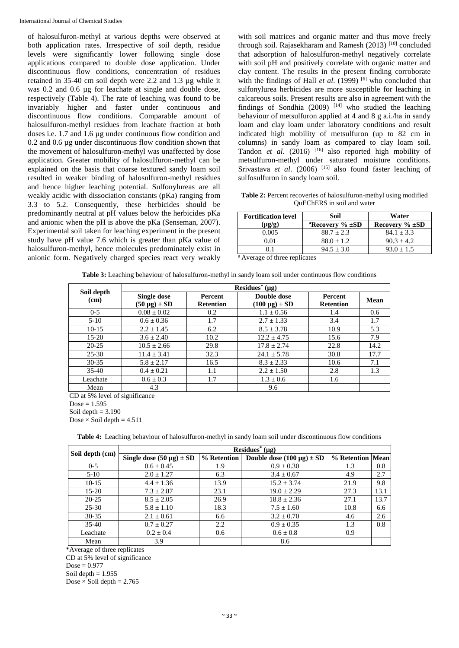of halosulfuron-methyl at various depths were observed at both application rates. Irrespective of soil depth, residue levels were significantly lower following single dose applications compared to double dose application. Under discontinuous flow conditions, concentration of residues retained in 35-40 cm soil depth were 2.2 and 1.3 µg while it was 0.2 and 0.6 µg for leachate at single and double dose, respectively (Table 4). The rate of leaching was found to be invariably higher and faster under continuous and discontinuous flow conditions. Comparable amount of halosulfuron-methyl residues from leachate fraction at both doses i.e. 1.7 and 1.6 µg under continuous flow condition and 0.2 and 0.6 µg under discontinuous flow condition shown that the movement of halosulfuron-methyl was unaffected by dose application. Greater mobility of halosulfuron-methyl can be explained on the basis that coarse textured sandy loam soil resulted in weaker binding of halosulfuron-methyl residues and hence higher leaching potential. Sulfonylureas are all weakly acidic with dissociation constants (pKa) ranging from 3.3 to 5.2. Consequently, these herbicides should be predominantly neutral at pH values below the herbicides pKa and anionic when the pH is above the pKa (Senseman, 2007). Experimental soil taken for leaching experiment in the present study have pH value 7.6 which is greater than pKa value of halosulfuron-methyl, hence molecules predominately exist in anionic form. Negatively charged species react very weakly

with soil matrices and organic matter and thus move freely through soil. Rajasekharam and Ramesh  $(2013)$ <sup>[10]</sup> concluded that adsorption of halosulfuron-methyl negatively correlate with soil pH and positively correlate with organic matter and clay content. The results in the present finding corroborate with the findings of Hall *et al.* (1999)  $[6]$  who concluded that sulfonylurea herbicides are more susceptible for leaching in calcareous soils. Present results are also in agreement with the findings of Sondhia  $(2009)$ <sup>[14]</sup> who studied the leaching behaviour of metsulfuron applied at 4 and 8 g a.i./ha in sandy loam and clay loam under laboratory conditions and result indicated high mobility of metsulfuron (up to 82 cm in columns) in sandy loam as compared to clay loam soil. Tandon *et al*. (2016) [16] also reported high mobility of metsulfuron-methyl under saturated moisture conditions*.* Srivastava *et al.* (2006) <sup>[15]</sup> also found faster leaching of sulfosulfuron in sandy loam soil.

**Table 2:** Percent recoveries of halosulfuron-methyl using modified QuEChERS in soil and water

| <b>Fortification level</b> | Soil                              | Water                |  |  |
|----------------------------|-----------------------------------|----------------------|--|--|
| $(\mu g/g)$                | <sup>a</sup> Recovery $\% \pm SD$ | Recovery $\% \pm SD$ |  |  |
| 0.005                      | $88.7 + 2.3$                      | $84.1 + 3.3$         |  |  |
| ን 01                       | $88.0 + 1.2$                      | $90.3 + 4.2$         |  |  |
|                            | $94.5 + 3.0$                      | $93.0 + 1.5$         |  |  |

<sup>a</sup> Average of three replicates

|                    | Residues <sup>*</sup> ( $\mu$ g)   |                                    |                                     |                                    |      |  |  |
|--------------------|------------------------------------|------------------------------------|-------------------------------------|------------------------------------|------|--|--|
| Soil depth<br>(cm) | Single dose<br>$(50 \mu g) \pm SD$ | <b>Percent</b><br><b>Retention</b> | Double dose<br>$(100 \mu g) \pm SD$ | <b>Percent</b><br><b>Retention</b> | Mean |  |  |
| $0 - 5$            | $0.08 \pm 0.02$                    | 0.2                                | $1.1 \pm 0.56$                      | 1.4                                | 0.6  |  |  |
| $5-10$             | $0.6 \pm 0.36$                     | 1.7                                | $2.7 \pm 1.33$                      | 3.4                                | 1.7  |  |  |
| $10-15$            | $2.2 \pm 1.45$                     | 6.2                                | $8.5 \pm 3.78$                      | 10.9                               | 5.3  |  |  |
| $15-20$            | $3.6 \pm 2.40$                     | 10.2                               | $12.2 + 4.75$                       | 15.6                               | 7.9  |  |  |
| $20 - 25$          | $10.5 \pm 2.66$                    | 29.8                               | $17.8 \pm 2.74$                     | 22.8                               | 14.2 |  |  |
| $25 - 30$          | $11.4 + 3.41$                      | 32.3                               | $24.1 \pm 5.78$                     | 30.8                               | 17.7 |  |  |
| $30 - 35$          | $5.8 \pm 2.17$                     | 16.5                               | $8.3 \pm 2.33$                      | 10.6                               | 7.1  |  |  |
| $35-40$            | $0.4 \pm 0.21$                     | 1.1                                | $2.2 \pm 1.50$                      | 2.8                                | 1.3  |  |  |
| Leachate           | $0.6 \pm 0.3$                      | 1.7                                | $1.3 \pm 0.6$                       | 1.6                                |      |  |  |
| Mean               | 4.3                                |                                    | 9.6                                 |                                    |      |  |  |

CD at 5% level of significance  $Dose = 1.595$ Soil depth  $= 3.190$ Dose  $\times$  Soil depth = 4.511

|  |  |  | <b>Table 4:</b> Leaching behaviour of halosulfuron-methyl in sandy loam soil under discontinuous flow conditions |  |  |  |  |  |  |  |
|--|--|--|------------------------------------------------------------------------------------------------------------------|--|--|--|--|--|--|--|
|--|--|--|------------------------------------------------------------------------------------------------------------------|--|--|--|--|--|--|--|

|                 | Residues <sup>*</sup> $(\mu g)$ |             |                                  |                  |      |  |  |  |  |
|-----------------|---------------------------------|-------------|----------------------------------|------------------|------|--|--|--|--|
| Soil depth (cm) | Single dose $(50 \mu g) \pm SD$ | % Retention | Double dose $(100 \mu g) \pm SD$ | % Retention Mean |      |  |  |  |  |
| $0 - 5$         | $0.6 \pm 0.45$                  | 1.9         | $0.9 \pm 0.30$                   | 1.3              | 0.8  |  |  |  |  |
| $5-10$          | $2.0 \pm 1.27$                  | 6.3         | $3.4 \pm 0.67$                   | 4.9              | 2.7  |  |  |  |  |
| $10-15$         | $4.4 \pm 1.36$                  | 13.9        | $15.2 \pm 3.74$                  | 21.9             | 9.8  |  |  |  |  |
| $15-20$         | $7.3 \pm 2.87$                  | 23.1        | $19.0 \pm 2.29$                  | 27.3             | 13.1 |  |  |  |  |
| $20 - 25$       | $8.5 \pm 2.05$                  | 26.9        | $18.8 \pm 2.36$                  | 27.1             | 13.7 |  |  |  |  |
| $25 - 30$       | $5.8 \pm 1.10$                  | 18.3        | $7.5 \pm 1.60$                   | 10.8             | 6.6  |  |  |  |  |
| $30 - 35$       | $2.1 \pm 0.61$                  | 6.6         | $3.2 \pm 0.70$                   | 4.6              | 2.6  |  |  |  |  |
| $35-40$         | $0.7 \pm 0.27$                  | 2.2         | $0.9 \pm 0.35$                   | 1.3              | 0.8  |  |  |  |  |
| Leachate        | $0.2 \pm 0.4$                   | 0.6         | $0.6 \pm 0.8$                    | 0.9              |      |  |  |  |  |
| Mean            | 3.9                             |             | 8.6                              |                  |      |  |  |  |  |

\*Average of three replicates

CD at 5% level of significance  $Dose = 0.977$ 

Soil depth  $= 1.955$ 

Dose  $\times$  Soil depth = 2.765